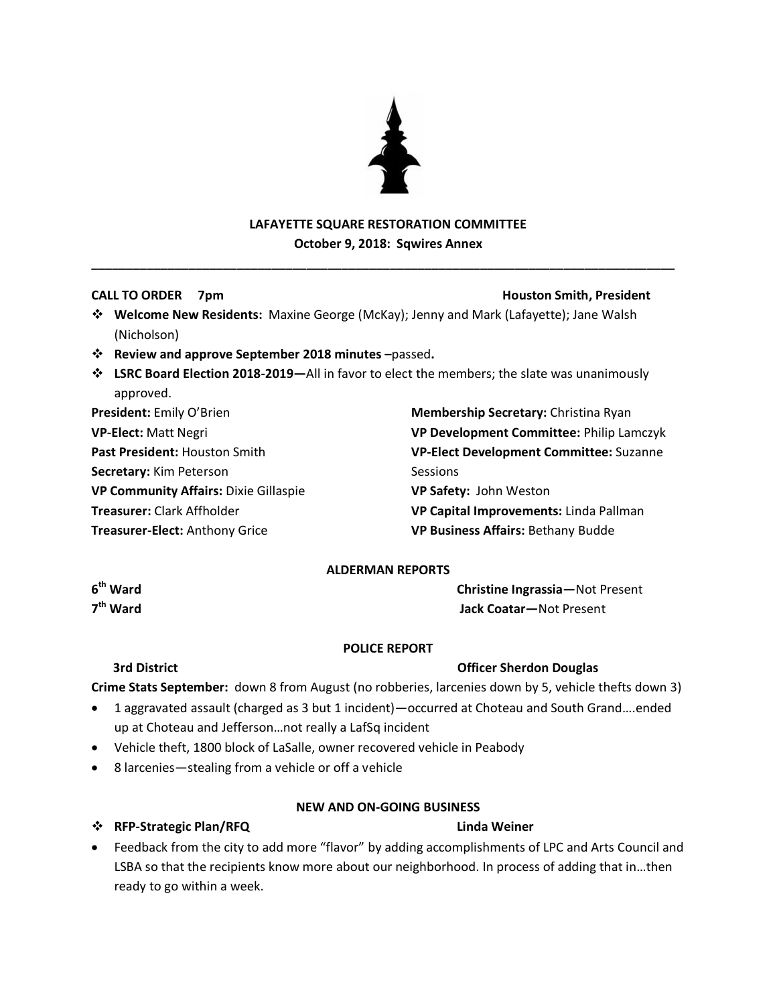

# **LAFAYETTE SQUARE RESTORATION COMMITTEE October 9, 2018: Sqwires Annex**

**\_\_\_\_\_\_\_\_\_\_\_\_\_\_\_\_\_\_\_\_\_\_\_\_\_\_\_\_\_\_\_\_\_\_\_\_\_\_\_\_\_\_\_\_\_\_\_\_\_\_\_\_\_\_\_\_\_\_\_\_\_\_\_\_\_\_\_\_\_\_\_\_\_\_\_\_\_\_\_\_\_\_\_\_**

### **CALL TO ORDER 7pm Houston Smith, President**

- **Welcome New Residents:** Maxine George (McKay); Jenny and Mark (Lafayette); Jane Walsh (Nicholson)
- **Review and approve September 2018 minutes –**passed**.**
- **LSRC Board Election 2018-2019—**All in favor to elect the members; the slate was unanimously approved.

**President:** Emily O'Brien **VP-Elect:** Matt Negri **Past President:** Houston Smith **Secretary:** Kim Peterson **VP Community Affairs:** Dixie Gillaspie

**Treasurer:** Clark Affholder

**Treasurer-Elect:** Anthony Grice

**Membership Secretary:** Christina Ryan **VP Development Committee:** Philip Lamczyk **VP-Elect Development Committee:** Suzanne Sessions **VP Safety:** John Weston **VP Capital Improvements:** Linda Pallman **VP Business Affairs:** Bethany Budde

# **ALDERMAN REPORTS**

6<sup>th</sup> Ward 7<sup>th</sup> Ward

**Christine Ingrassia**—Not Present **th Ward Jack Coatar—**Not Present

### **POLICE REPORT**

# **3rd District Community Community Community Community Community Community Community Community Community Community Community Community Community Community Community Community Community Community Community Community Communi**

**Crime Stats September:** down 8 from August (no robberies, larcenies down by 5, vehicle thefts down 3)

- 1 aggravated assault (charged as 3 but 1 incident)—occurred at Choteau and South Grand….ended up at Choteau and Jefferson…not really a LafSq incident
- Vehicle theft, 1800 block of LaSalle, owner recovered vehicle in Peabody
- 8 larcenies—stealing from a vehicle or off a vehicle

### **NEW AND ON-GOING BUSINESS**

# **RFP-Strategic Plan/RFQ Linda Weiner**

 Feedback from the city to add more "flavor" by adding accomplishments of LPC and Arts Council and LSBA so that the recipients know more about our neighborhood. In process of adding that in…then ready to go within a week.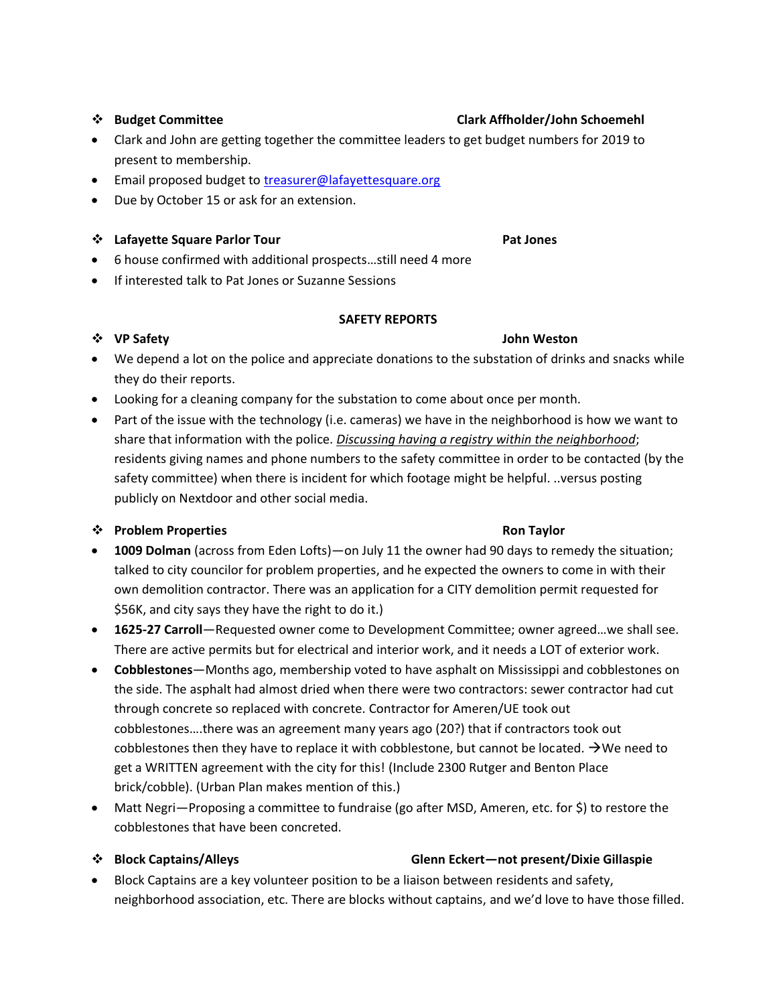# **Budget Committee Clark Affholder/John Schoemehl**

- Clark and John are getting together the committee leaders to get budget numbers for 2019 to present to membership.
- **Email proposed budget to [treasurer@lafayettesquare.org](mailto:treasurer@lafayettesquare.org)**
- Due by October 15 or ask for an extension.

### **Lafayette Square Parlor Tour Pat Jones**

- 6 house confirmed with additional prospects…still need 4 more
- **•** If interested talk to Pat Jones or Suzanne Sessions

### **SAFETY REPORTS**

# ◆ VP Safety **John Weston**

- We depend a lot on the police and appreciate donations to the substation of drinks and snacks while they do their reports.
- Looking for a cleaning company for the substation to come about once per month.
- Part of the issue with the technology (i.e. cameras) we have in the neighborhood is how we want to share that information with the police. *Discussing having a registry within the neighborhood*; residents giving names and phone numbers to the safety committee in order to be contacted (by the safety committee) when there is incident for which footage might be helpful. ..versus posting publicly on Nextdoor and other social media.

# **<sup>** $\cdot$ **</sup> Problem Properties Ron Taylor Ron Taylor**

- **1009 Dolman** (across from Eden Lofts)—on July 11 the owner had 90 days to remedy the situation; talked to city councilor for problem properties, and he expected the owners to come in with their own demolition contractor. There was an application for a CITY demolition permit requested for \$56K, and city says they have the right to do it.)
- **1625-27 Carroll**—Requested owner come to Development Committee; owner agreed…we shall see. There are active permits but for electrical and interior work, and it needs a LOT of exterior work.
- **Cobblestones**—Months ago, membership voted to have asphalt on Mississippi and cobblestones on the side. The asphalt had almost dried when there were two contractors: sewer contractor had cut through concrete so replaced with concrete. Contractor for Ameren/UE took out cobblestones….there was an agreement many years ago (20?) that if contractors took out cobblestones then they have to replace it with cobblestone, but cannot be located.  $\rightarrow$  We need to get a WRITTEN agreement with the city for this! (Include 2300 Rutger and Benton Place brick/cobble). (Urban Plan makes mention of this.)
- Matt Negri—Proposing a committee to fundraise (go after MSD, Ameren, etc. for \$) to restore the cobblestones that have been concreted.

### **Block Captains/Alleys Glenn Eckert—not present/Dixie Gillaspie**

 Block Captains are a key volunteer position to be a liaison between residents and safety, neighborhood association, etc. There are blocks without captains, and we'd love to have those filled.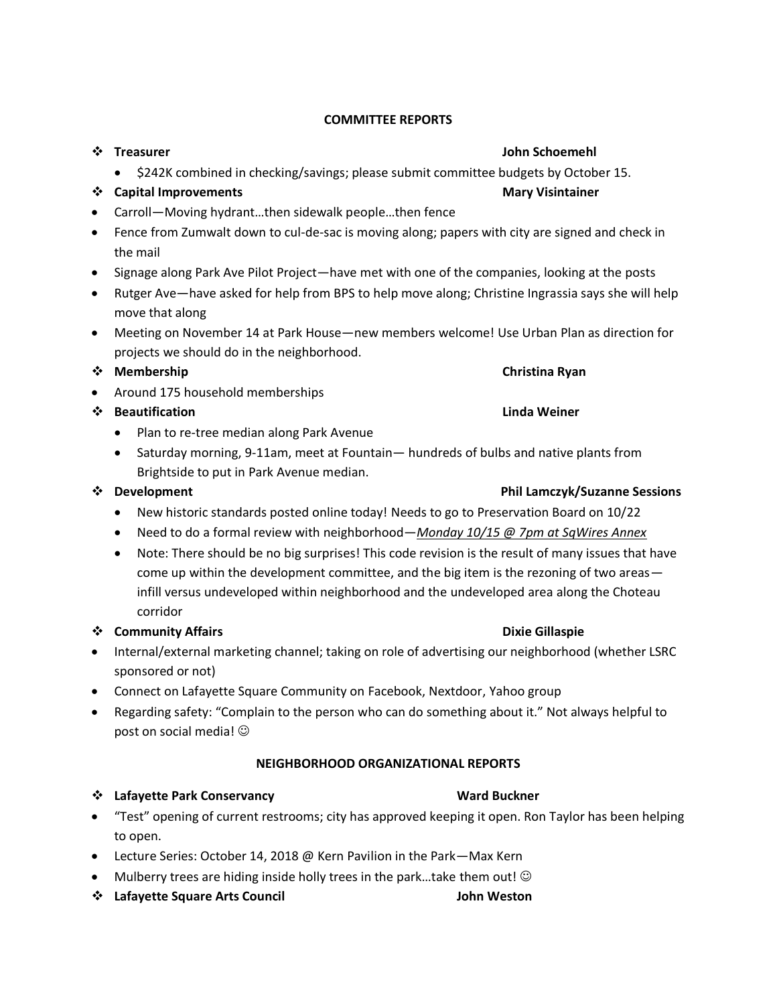# **COMMITTEE REPORTS**

\$242K combined in checking/savings; please submit committee budgets by October 15.

# **19. Capital Improvements Mary Visintainer** Mary Visintainer

- Carroll—Moving hydrant…then sidewalk people…then fence
- Fence from Zumwalt down to cul-de-sac is moving along; papers with city are signed and check in the mail
- Signage along Park Ave Pilot Project—have met with one of the companies, looking at the posts
- Rutger Ave—have asked for help from BPS to help move along; Christine Ingrassia says she will help move that along
- Meeting on November 14 at Park House—new members welcome! Use Urban Plan as direction for projects we should do in the neighborhood.

### **◆ Membership Christina Ryan**

• Around 175 household memberships

# ◆ Beautification **Linda Weiner**

- Plan to re-tree median along Park Avenue
- Saturday morning, 9-11am, meet at Fountain— hundreds of bulbs and native plants from Brightside to put in Park Avenue median.

- New historic standards posted online today! Needs to go to Preservation Board on 10/22
- Need to do a formal review with neighborhood—*Monday 10/15 @ 7pm at SqWires Annex*
- Note: There should be no big surprises! This code revision is the result of many issues that have come up within the development committee, and the big item is the rezoning of two areas infill versus undeveloped within neighborhood and the undeveloped area along the Choteau corridor

# **<sup>\*</sup>** Community Affairs **Dixie Gillaspie Dixie Gillaspie**

- Internal/external marketing channel; taking on role of advertising our neighborhood (whether LSRC sponsored or not)
- Connect on Lafayette Square Community on Facebook, Nextdoor, Yahoo group
- Regarding safety: "Complain to the person who can do something about it." Not always helpful to post on social media!

# **NEIGHBORHOOD ORGANIZATIONAL REPORTS**

### **1.4 Lafayette Park Conservancy** Constants and Buckner Ward Buckner

- "Test" opening of current restrooms; city has approved keeping it open. Ron Taylor has been helping to open.
- Lecture Series: October 14, 2018 @ Kern Pavilion in the Park-Max Kern
- $\bullet$  Mulberry trees are hiding inside holly trees in the park...take them out!  $\odot$
- **Lafayette Square Arts Council John Weston**

### **Example 2** Treasurer  $\mathbf{A}$  and  $\mathbf{B}$  and  $\mathbf{A}$  are  $\mathbf{A}$  and  $\mathbf{A}$  and  $\mathbf{A}$  are  $\mathbf{A}$  and  $\mathbf{A}$  are  $\mathbf{A}$  and  $\mathbf{A}$  are  $\mathbf{A}$  and  $\mathbf{A}$  are  $\mathbf{A}$  and  $\mathbf{A}$  are  $\mathbf{A}$  and  $\mathbf{$

# **<sup>\*</sup>** Development **Phil Lamczyk/Suzanne Sessions**